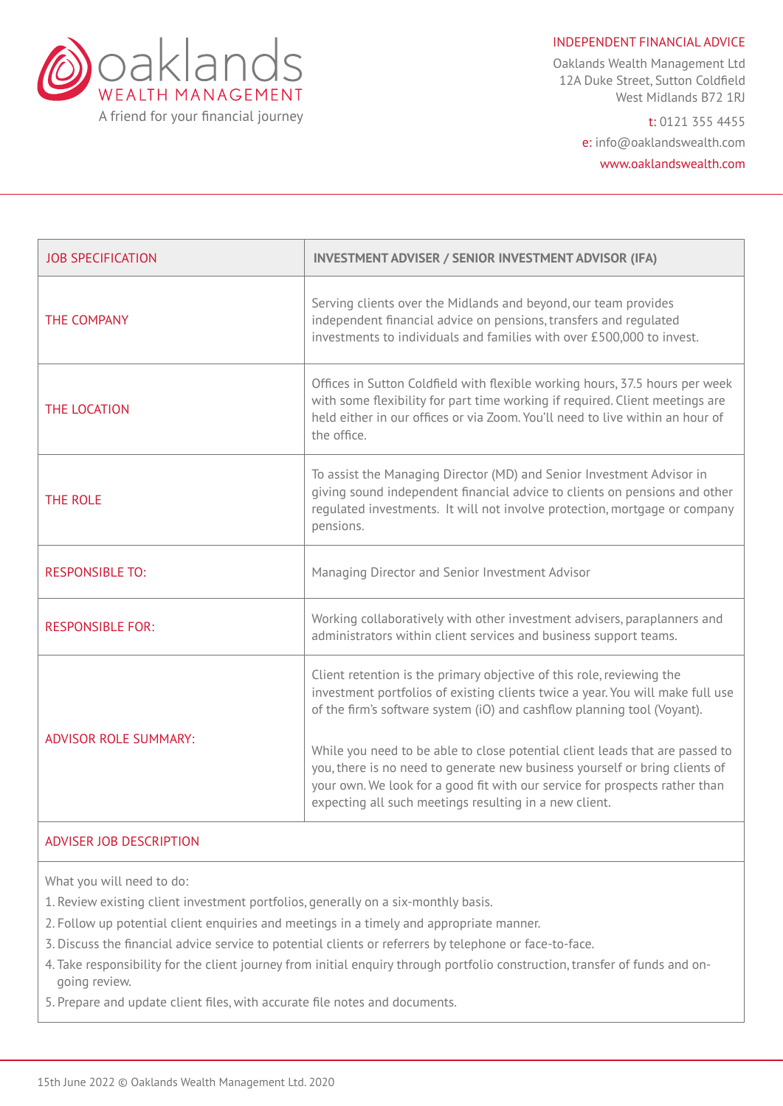

INDEPENDENT FINANCIAL ADVICE

Oaklands Wealth Management Ltd 12A Duke Street, Sutton Coldfield West Midlands B72 1RJ

> t: 0121 355 4455 e: info@oaklandswealth.com www.oaklandswealth.com

| <b>JOB SPECIFICATION</b>     | <b>INVESTMENT ADVISER / SENIOR INVESTMENT ADVISOR (IFA)</b>                                                                                                                                                                                                                                                                                                                                                                                                                                                                                |
|------------------------------|--------------------------------------------------------------------------------------------------------------------------------------------------------------------------------------------------------------------------------------------------------------------------------------------------------------------------------------------------------------------------------------------------------------------------------------------------------------------------------------------------------------------------------------------|
| THE COMPANY                  | Serving clients over the Midlands and beyond, our team provides<br>independent financial advice on pensions, transfers and regulated<br>investments to individuals and families with over £500,000 to invest.                                                                                                                                                                                                                                                                                                                              |
| THE LOCATION                 | Offices in Sutton Coldfield with flexible working hours, 37.5 hours per week<br>with some flexibility for part time working if required. Client meetings are<br>held either in our offices or via Zoom. You'll need to live within an hour of<br>the office.                                                                                                                                                                                                                                                                               |
| <b>THE ROLE</b>              | To assist the Managing Director (MD) and Senior Investment Advisor in<br>giving sound independent financial advice to clients on pensions and other<br>regulated investments. It will not involve protection, mortgage or company<br>pensions.                                                                                                                                                                                                                                                                                             |
| <b>RESPONSIBLE TO:</b>       | Managing Director and Senior Investment Advisor                                                                                                                                                                                                                                                                                                                                                                                                                                                                                            |
| <b>RESPONSIBLE FOR:</b>      | Working collaboratively with other investment advisers, paraplanners and<br>administrators within client services and business support teams.                                                                                                                                                                                                                                                                                                                                                                                              |
| <b>ADVISOR ROLE SUMMARY:</b> | Client retention is the primary objective of this role, reviewing the<br>investment portfolios of existing clients twice a year. You will make full use<br>of the firm's software system (iO) and cashflow planning tool (Voyant).<br>While you need to be able to close potential client leads that are passed to<br>you, there is no need to generate new business yourself or bring clients of<br>your own. We look for a good fit with our service for prospects rather than<br>expecting all such meetings resulting in a new client. |

## ADVISER JOB DESCRIPTION

What you will need to do:

- 1. Review existing client investment portfolios, generally on a six-monthly basis.
- 2. Follow up potential client enquiries and meetings in a timely and appropriate manner.
- 3. Discuss the financial advice service to potential clients or referrers by telephone or face-to-face.
- 4. Take responsibility for the client journey from initial enquiry through portfolio construction, transfer of funds and ongoing review.
- 5. Prepare and update client files, with accurate file notes and documents.